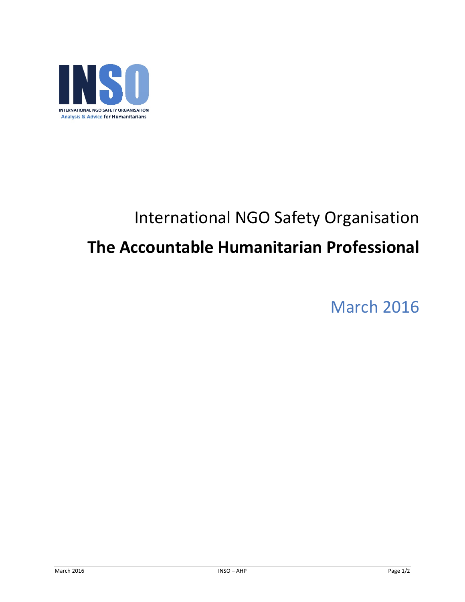

## International NGO Safety Organisation **The Accountable Humanitarian Professional**

March 2016